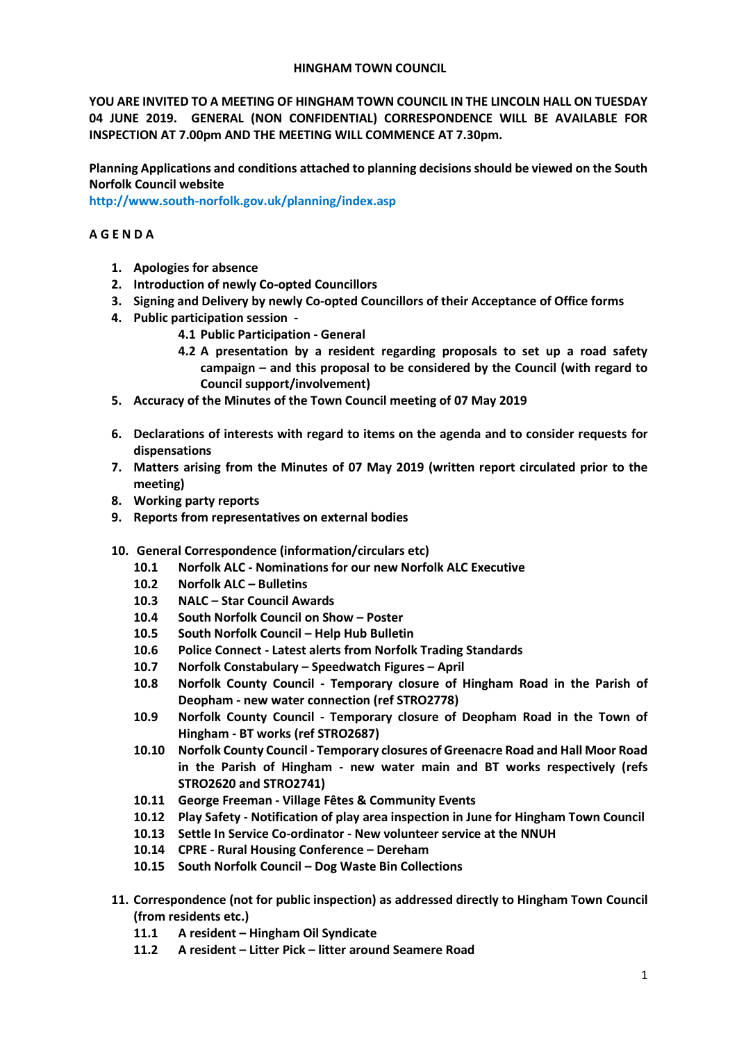### **HINGHAM TOWN COUNCIL**

**YOU ARE INVITED TO A MEETING OF HINGHAM TOWN COUNCIL IN THE LINCOLN HALL ON TUESDAY 04 JUNE 2019. GENERAL (NON CONFIDENTIAL) CORRESPONDENCE WILL BE AVAILABLE FOR INSPECTION AT 7.00pm AND THE MEETING WILL COMMENCE AT 7.30pm.** 

**Planning Applications and conditions attached to planning decisions should be viewed on the South Norfolk Council website** 

**<http://www.south-norfolk.gov.uk/planning/index.asp>**

## **A G E N D A**

- **1. Apologies for absence**
- **2. Introduction of newly Co-opted Councillors**
- **3. Signing and Delivery by newly Co-opted Councillors of their Acceptance of Office forms**
- **4. Public participation session -**
	- **4.1 Public Participation - General**
	- **4.2 A presentation by a resident regarding proposals to set up a road safety campaign – and this proposal to be considered by the Council (with regard to Council support/involvement)**
- **5. Accuracy of the Minutes of the Town Council meeting of 07 May 2019**
- **6. Declarations of interests with regard to items on the agenda and to consider requests for dispensations**
- **7. Matters arising from the Minutes of 07 May 2019 (written report circulated prior to the meeting)**
- **8. Working party reports**
- **9. Reports from representatives on external bodies**
- **10. General Correspondence (information/circulars etc)**
	- **10.1 Norfolk ALC - Nominations for our new Norfolk ALC Executive**
	- **10.2 Norfolk ALC – Bulletins**
	- **10.3 NALC – Star Council Awards**
	- **10.4 South Norfolk Council on Show – Poster**
	- **10.5 South Norfolk Council – Help Hub Bulletin**
	- **10.6 Police Connect - Latest alerts from Norfolk Trading Standards**
	- **10.7 Norfolk Constabulary – Speedwatch Figures – April**
	- **10.8 Norfolk County Council - Temporary closure of Hingham Road in the Parish of Deopham - new water connection (ref STRO2778)**
	- **10.9 Norfolk County Council - Temporary closure of Deopham Road in the Town of Hingham - BT works (ref STRO2687)**
	- **10.10 Norfolk County Council - Temporary closures of Greenacre Road and Hall Moor Road in the Parish of Hingham - new water main and BT works respectively (refs STRO2620 and STRO2741)**
	- **10.11 George Freeman - Village Fêtes & Community Events**
	- **10.12 Play Safety - Notification of play area inspection in June for Hingham Town Council**
	- **10.13 Settle In Service Co-ordinator - New volunteer service at the NNUH**
	- **10.14 CPRE - Rural Housing Conference – Dereham**
	- **10.15 South Norfolk Council – Dog Waste Bin Collections**
- **11. Correspondence (not for public inspection) as addressed directly to Hingham Town Council (from residents etc.)**
	- **11.1 A resident – Hingham Oil Syndicate**
	- **11.2 A resident – Litter Pick – litter around Seamere Road**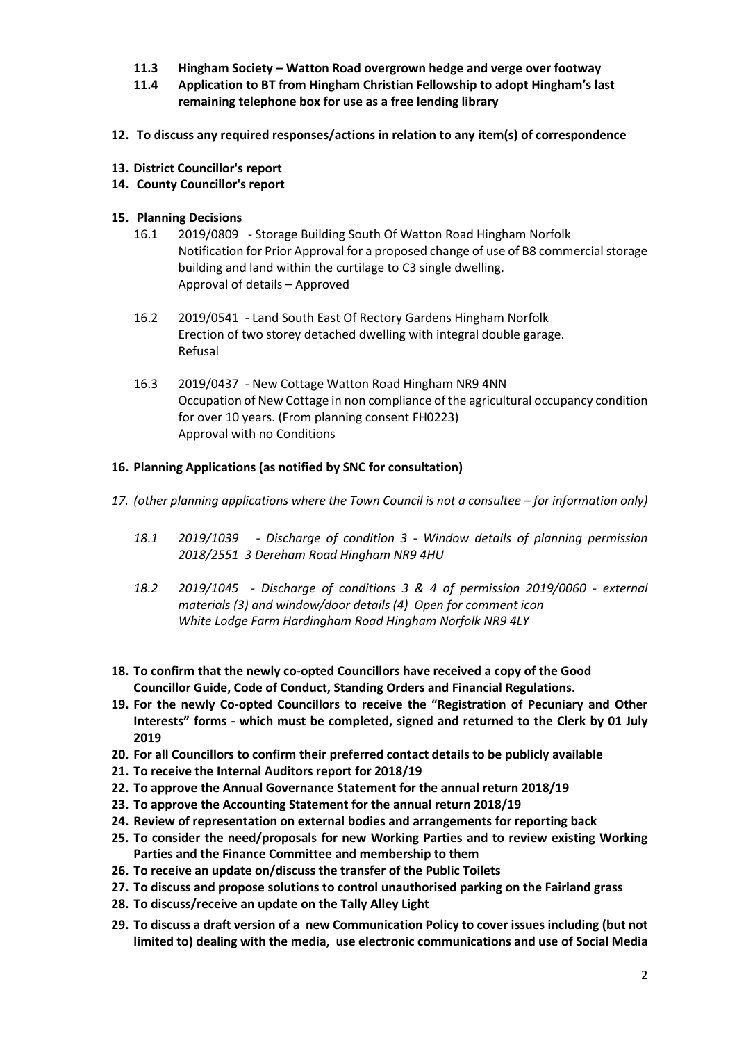- **11.3 Hingham Society – Watton Road overgrown hedge and verge over footway**
- **11.4 Application to BT from Hingham Christian Fellowship to adopt Hingham's last remaining telephone box for use as a free lending library**
- **12. To discuss any required responses/actions in relation to any item(s) of correspondence**
- **13. District Councillor's report**
- **14. County Councillor's report**

## **15. Planning Decisions**

- 16.1 2019/0809 Storage Building South Of Watton Road Hingham Norfolk Notification for Prior Approval for a proposed change of use of B8 commercial storage building and land within the curtilage to C3 single dwelling. Approval of details – Approved
- 16.2 2019/0541 Land South East Of Rectory Gardens Hingham Norfolk Erection of two storey detached dwelling with integral double garage. Refusal
- 16.3 2019/0437 New Cottage Watton Road Hingham NR9 4NN Occupation of New Cottage in non compliance of the agricultural occupancy condition for over 10 years. (From planning consent FH0223) Approval with no Conditions

# **16. Planning Applications (as notified by SNC for consultation)**

- 17. *(other planning applications where the Town Council is not a consultee for information only)* 
	- *18.1 2019/1039 - Discharge of condition 3 - Window details of planning permission 2018/2551 3 Dereham Road Hingham NR9 4HU*
	- *18.2 2019/1045 - Discharge of conditions 3 & 4 of permission 2019/0060 - external materials (3) and window/door details (4) Open for comment icon White Lodge Farm Hardingham Road Hingham Norfolk NR9 4LY*
- **18. To confirm that the newly co-opted Councillors have received a copy of the Good Councillor Guide, Code of Conduct, Standing Orders and Financial Regulations.**
- **19. For the newly Co-opted Councillors to receive the "Registration of Pecuniary and Other Interests" forms - which must be completed, signed and returned to the Clerk by 01 July 2019**
- **20. For all Councillors to confirm their preferred contact details to be publicly available**
- **21. To receive the Internal Auditors report for 2018/19**
- **22. To approve the Annual Governance Statement for the annual return 2018/19**
- **23. To approve the Accounting Statement for the annual return 2018/19**
- **24. Review of representation on external bodies and arrangements for reporting back**
- **25. To consider the need/proposals for new Working Parties and to review existing Working Parties and the Finance Committee and membership to them**
- **26. To receive an update on/discuss the transfer of the Public Toilets**
- **27. To discuss and propose solutions to control unauthorised parking on the Fairland grass**
- **28. To discuss/receive an update on the Tally Alley Light**
- **29. To discuss a draft version of a new Communication Policy to cover issues including (but not limited to) dealing with the media, use electronic communications and use of Social Media**